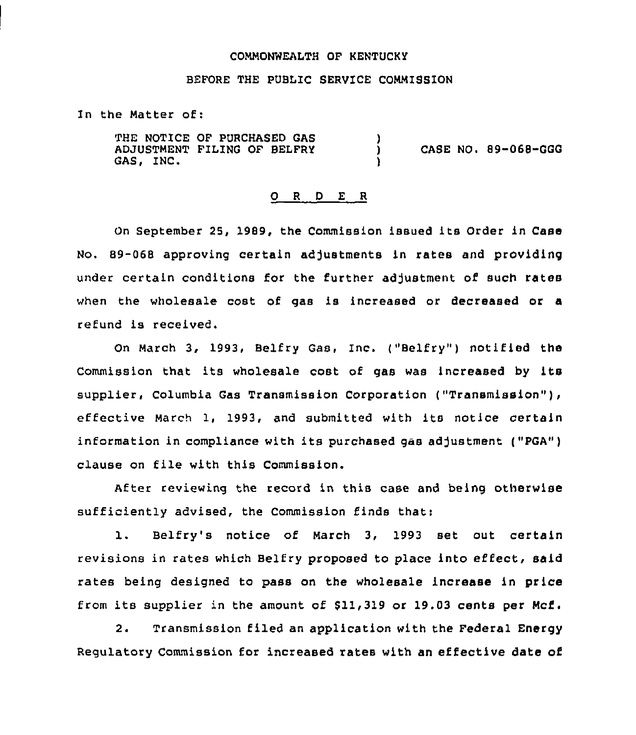#### COMMONWEALTH OF KENTUCKY

#### BEFORE THE PUBLIC SERVICE COMMISSION

In the Matter of:

THE NOTICE OF PURCHASED GAS ADJUSTMENT FILING QF BELFRY GAS, INC. )<br>) ) CASE NO. 89-068-GGG )

## ORDER

On September 25, 1909, the Commission issued its Order in Case No. 89-068 approving certain adjustments in rates and providing under certain conditions for the further adjustment of such rates when the wholesale cost of gas is increased or decreased or a refund is received.

On March 3, 1993, Belfry Gas, Inc. ("Belfry") notified the Commission that its wholesale cost of gas was increased by its supplier, Columbia Gas Transmission Corporation ("Transmission"), effective March 1, 1993, and submitted with its notice certain information in compliance with its purchased gas adjustment ("PGA") clause on file with this Commission.

After reviewing the record in this case and being otherwise sufficiently advised, the Commission finds that:

1. Belfry's notice of March 3, <sup>1993</sup> set out certain revisions in rates which Belfry proposed to place into effect, said rates being designed to pass on the wholesale increase in price from its supplier in the amount of \$11,319 or 19.03 cents per Mcf.

2. Transmission filed an application with the Federal Energy Regulatory Commission for increased rates with an effective date of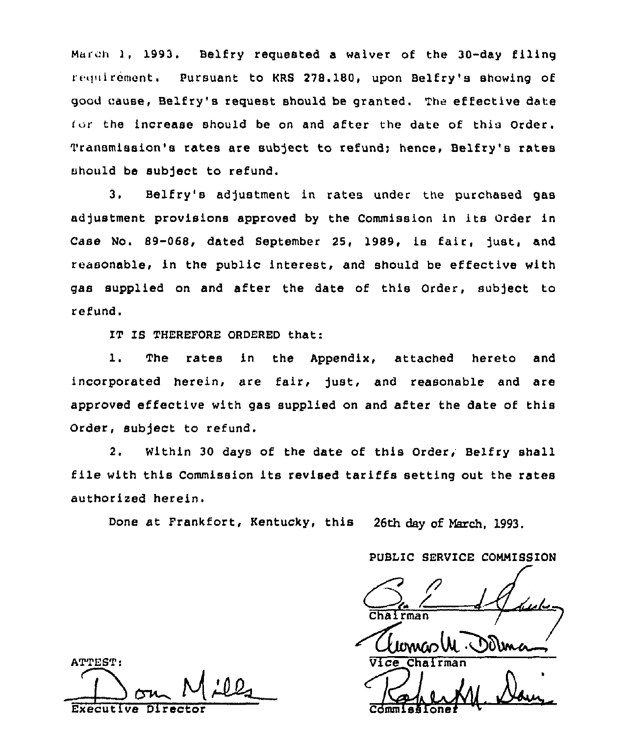March 1, 1993. Belfry requested a waiver of the 30-day filing requirement. Pursuant to KRS 278.180, upon Belfry's showing of good cause, Belfry's request should be granted. The effective date [or the increase should be on and after the date of this Order. Transmission's rates are subject to refund; hence, Belfry's rates should be subject to refund.

3, Belfry's adjustment in rates under the purchased gas adjustment provisions approved by the Commission in its Order in Case No. 89-068, dated September 25, 1989, is fair, Just, and reasonable, in the public interest, and should be effective with gas supplied on and after the date of this Order, subject to refund.

IT IS THEREFORE ORDERED that:

l. The rates in the Appendix, attached hereto and incorporated herein, are fair, just, and reasonable and are approved effective with gas supplied on and after the date of this Order, subject to refund.

2. Within 30 days of the date of this Order; Belfry shell file with this Commission its revised tariffs setting out the rates authorised herein.

Done at Frankfort, Kentucky, this 26th day of March, 1993.

PUBLIC SERVICE COMMISSION

Chairman<br>Wewco W. DOUma

Comm  $\sqrt{\frac{2}{\pi}}$ **EXERCISE**  $\sqrt{\frac{2}{4}}$ 

ATTEST: Executive Di